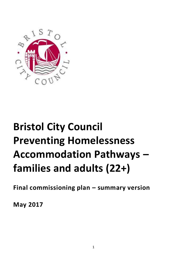

# **Bristol City Council Preventing Homelessness Accommodation Pathways – families and adults (22+)**

**Final commissioning plan – summary version**

**May 2017**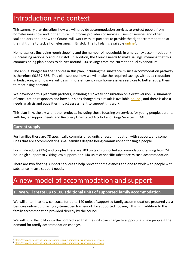### Introduction and context

This summary plan describes how we will provide accommodation services to protect people from homelessness now and in the future. It informs providers of services, users of services and other stakeholders about how the Council will work with its partners to provide the right accommodation at the right time to tackle homelessness in Bristol. The full plan is available *online*<sup>1</sup>.

Homelessness (including rough sleeping and the number of households in emergency accommodation) is increasing nationally and in Bristol. In addition, the Council needs to make savings, meaning that this commissioning plan needs to deliver around 10% savings from the current annual expenditure.

The annual budget for the services in this plan, including the substance misuse accommodation pathway is therefore £6,337,886. This plan sets out how we will make the required savings without a reduction in bedspaces, and how we will design more efficiency into homelessness services to better equip them to meet rising demand.

We developed this plan with partners, including a 12 week consultation on a draft version. A summary of consultation responses and how our plans changed as a result is available **online**<sup>2</sup>, and there is also a needs analysis and equalities impact assessment to support this work.

This plan links closely with other projects, including those focusing on services for young people, parents with higher support needs and Recovery Orientated Alcohol and Drugs Services (ROADS).

#### **Current supply**

 $\overline{a}$ 

For families there are 78 specifically commissioned units of accommodation with support, and some units that are accommodating small families despite being commissioned for single people.

For single adults (22+) and couples there are 703 units of supported accommodation, ranging from 24 hour high support to visiting low support, and 140 units of specific substance misuse accommodation.

There are two floating support services to help prevent homelessness and one to work with people with substance misuse support needs.

### A new model of accommodation and support

#### **1. We will create up to 100 additional units of supported family accommodation**

We will enter into new contracts for up to 140 units of supported family accommodation, procured via a bespoke online purchasing system/open framework for supported housing. This is in addition to the family accommodation provided directly by the council.

We will build flexibility into the contracts so that the units can change to supporting single people if the demand for family accommodation changes.

<sup>&</sup>lt;sup>1</sup> <https://www.bristol.gov.uk/housing/commissioning-homelessness-prevention-services>

<sup>&</sup>lt;sup>2</sup> <https://www.bristol.gov.uk/housing/commissioning-homelessness-prevention-services>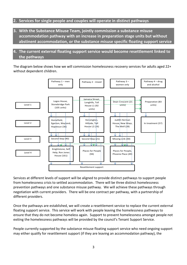#### **2. Services for single people and couples will operate in distinct pathways**

**3. With the Substance Misuse Team, jointly commission a substance misuse accommodation pathway with an increase in preparation stage units but without abstinent accommodation, or the substance misuse specific floating support service**

#### **4. The current external floating support service would become resettlement linked to the pathways**

The diagram below shows how we will commission homelessness recovery services for adults aged 22+ without dependent children.



Services at different levels of support will be aligned to provide distinct pathways to support people from homelessness crisis to settled accommodation. There will be three distinct homelessness prevention pathways and one substance misuse pathway. We will achieve these pathways through negotiation with current providers. There will be one contract per pathway, with a partnership of different providers.

Once the pathways are established, we will create a resettlement service to replace the current external floating support service. This service will work with people leaving the homelessness pathways to ensure that they do not become homeless again. Support to prevent homelessness amongst people not exiting the homelessness pathways will be provided by the council's Tenant Support Service.

People currently supported by the substance misuse floating support service who need ongoing support may either qualify for resettlement support (if they are leaving an accommodation pathway), the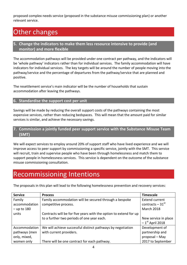proposed complex needs service (proposed in the substance misuse commissioning plan) or another relevant service.

## Other changes

#### **5. Change the indicators to make them less resource intensive to provide (and monitor) and more flexible**

The accommodation pathways will be provided under one contract per pathway, and the indicators will be 'whole pathway' indicators rather than for individual services. The family accommodation will have indicators for individual services. The key targets will be around the number of people moving into the pathway/service and the percentage of departures from the pathway/service that are planned and positive.

The resettlement service's main indicator will be the number of households that sustain accommodation after leaving the pathways.

#### **6. Standardise the support cost per unit**

Savings will be made by reducing the overall support costs of the pathways containing the most expensive services, rather than reducing bedspaces. This will mean that the amount paid for similar services is similar, and achieve the necessary savings.

#### **7. Commission a jointly funded peer support service with the Substance Misuse Team (SMT)**

We will expect services to employ around 20% of support staff who have lived experience and we will improve access to peer support by commissioning a specific service, jointly with the SMT. This service will recruit, train and supervise people who have been through homelessness and match them to support people in homelessness services. This service is dependent on the outcome of the substance misuse commissioning consultation.

### Recommissioning Intentions

The proposals in this plan will lead to the following homelessness prevention and recovery services:

| <b>Service</b> | <b>Process</b>                                                    | <b>Timescale</b>              |
|----------------|-------------------------------------------------------------------|-------------------------------|
| Family         | Family accommodation will be secured through a bespoke            | <b>Extend current</b>         |
| accommodation  | competitive process.                                              | contracts $-31$ <sup>st</sup> |
| $-$ up to 180  |                                                                   | March 2018                    |
| units          | Contracts will be for five years with the option to extend for up |                               |
|                | to a further two periods of one year each.                        | New service in place          |
|                |                                                                   | $-1st$ April 2018             |
| Accommodation  | We will achieve successful distinct pathways by negotiation       | Development of                |
| pathways (men  | with current providers.                                           | partnership and               |
| only, mixed,   |                                                                   | proposal - May                |
| women only     | There will be one contract for each pathway.                      | 2017 to September             |